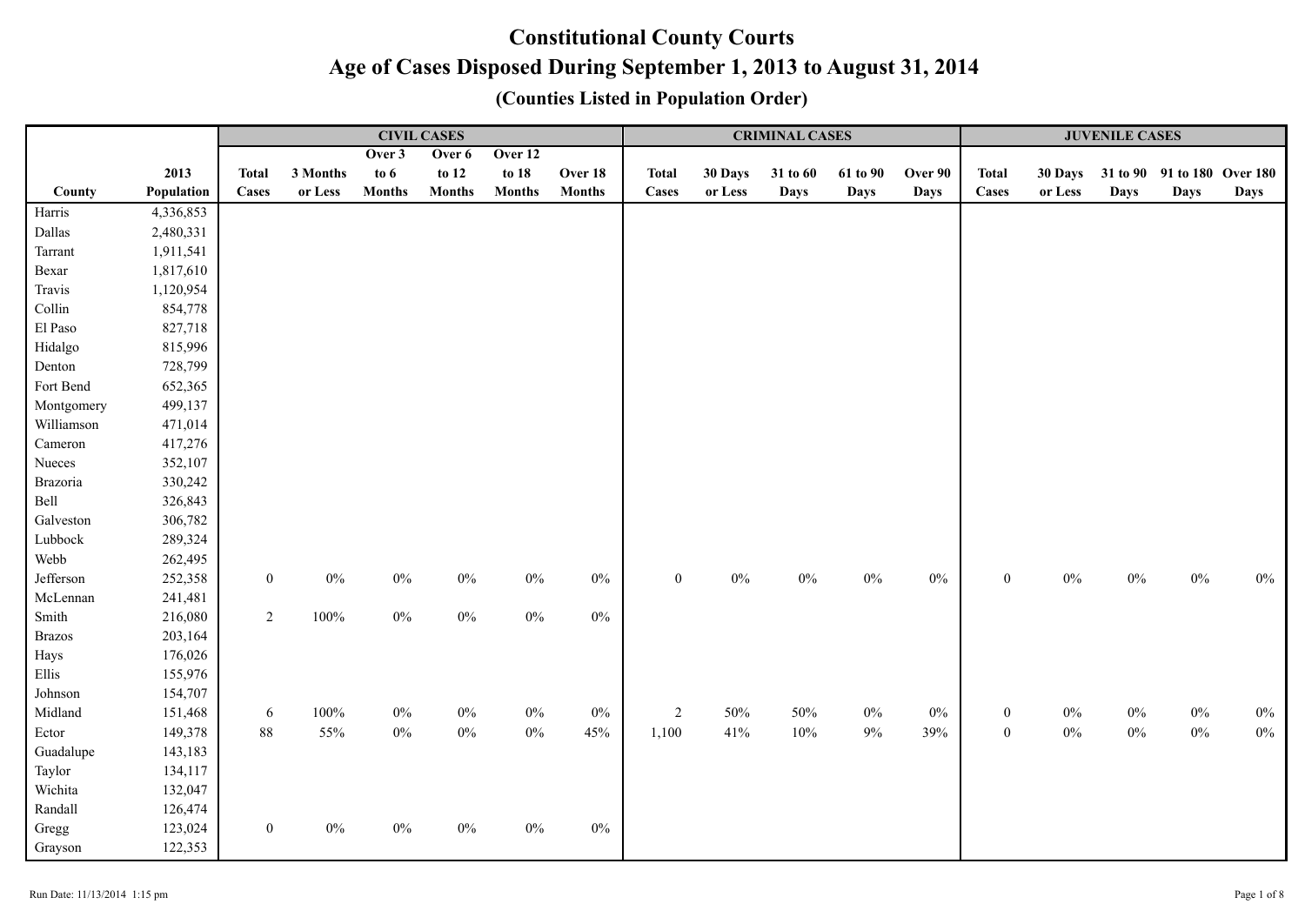|               |            |                  |          |               | <b>CIVIL CASES</b> |               |               | <b>CRIMINAL CASES</b> |         |             |             |             |                  | <b>JUVENILE CASES</b> |             |                             |             |  |
|---------------|------------|------------------|----------|---------------|--------------------|---------------|---------------|-----------------------|---------|-------------|-------------|-------------|------------------|-----------------------|-------------|-----------------------------|-------------|--|
|               |            |                  |          | Over 3        | Over 6             | Over 12       |               |                       |         |             |             |             |                  |                       |             |                             |             |  |
|               | 2013       | <b>Total</b>     | 3 Months | to $6$        | to 12              | to 18         | Over 18       | <b>Total</b>          | 30 Days | 31 to 60    | 61 to 90    | Over 90     | <b>Total</b>     | 30 Days               |             | 31 to 90 91 to 180 Over 180 |             |  |
| County        | Population | Cases            | or Less  | <b>Months</b> | <b>Months</b>      | <b>Months</b> | <b>Months</b> | <b>Cases</b>          | or Less | <b>Days</b> | <b>Days</b> | <b>Days</b> | Cases            | or Less               | <b>Days</b> | <b>Days</b>                 | <b>Days</b> |  |
| Harris        | 4,336,853  |                  |          |               |                    |               |               |                       |         |             |             |             |                  |                       |             |                             |             |  |
| Dallas        | 2,480,331  |                  |          |               |                    |               |               |                       |         |             |             |             |                  |                       |             |                             |             |  |
| Tarrant       | 1,911,541  |                  |          |               |                    |               |               |                       |         |             |             |             |                  |                       |             |                             |             |  |
| Bexar         | 1,817,610  |                  |          |               |                    |               |               |                       |         |             |             |             |                  |                       |             |                             |             |  |
| Travis        | 1,120,954  |                  |          |               |                    |               |               |                       |         |             |             |             |                  |                       |             |                             |             |  |
| Collin        | 854,778    |                  |          |               |                    |               |               |                       |         |             |             |             |                  |                       |             |                             |             |  |
| El Paso       | 827,718    |                  |          |               |                    |               |               |                       |         |             |             |             |                  |                       |             |                             |             |  |
| Hidalgo       | 815,996    |                  |          |               |                    |               |               |                       |         |             |             |             |                  |                       |             |                             |             |  |
| Denton        | 728,799    |                  |          |               |                    |               |               |                       |         |             |             |             |                  |                       |             |                             |             |  |
| Fort Bend     | 652,365    |                  |          |               |                    |               |               |                       |         |             |             |             |                  |                       |             |                             |             |  |
| Montgomery    | 499,137    |                  |          |               |                    |               |               |                       |         |             |             |             |                  |                       |             |                             |             |  |
| Williamson    | 471,014    |                  |          |               |                    |               |               |                       |         |             |             |             |                  |                       |             |                             |             |  |
| Cameron       | 417,276    |                  |          |               |                    |               |               |                       |         |             |             |             |                  |                       |             |                             |             |  |
| Nueces        | 352,107    |                  |          |               |                    |               |               |                       |         |             |             |             |                  |                       |             |                             |             |  |
| Brazoria      | 330,242    |                  |          |               |                    |               |               |                       |         |             |             |             |                  |                       |             |                             |             |  |
| Bell          | 326,843    |                  |          |               |                    |               |               |                       |         |             |             |             |                  |                       |             |                             |             |  |
| Galveston     | 306,782    |                  |          |               |                    |               |               |                       |         |             |             |             |                  |                       |             |                             |             |  |
| Lubbock       | 289,324    |                  |          |               |                    |               |               |                       |         |             |             |             |                  |                       |             |                             |             |  |
| Webb          | 262,495    |                  |          |               |                    |               |               |                       |         |             |             |             |                  |                       |             |                             |             |  |
| Jefferson     | 252,358    | $\boldsymbol{0}$ | $0\%$    | $0\%$         | $0\%$              | $0\%$         | $0\%$         | $\mathbf{0}$          | $0\%$   | $0\%$       | $0\%$       | $0\%$       | $\boldsymbol{0}$ | $0\%$                 | $0\%$       | $0\%$                       | $0\%$       |  |
| McLennan      | 241,481    |                  |          |               |                    |               |               |                       |         |             |             |             |                  |                       |             |                             |             |  |
| Smith         | 216,080    | $\overline{2}$   | $100\%$  | $0\%$         | $0\%$              | $0\%$         | $0\%$         |                       |         |             |             |             |                  |                       |             |                             |             |  |
| <b>Brazos</b> | 203,164    |                  |          |               |                    |               |               |                       |         |             |             |             |                  |                       |             |                             |             |  |
| Hays          | 176,026    |                  |          |               |                    |               |               |                       |         |             |             |             |                  |                       |             |                             |             |  |
| Ellis         | 155,976    |                  |          |               |                    |               |               |                       |         |             |             |             |                  |                       |             |                             |             |  |
| Johnson       | 154,707    |                  |          |               |                    |               |               |                       |         |             |             |             |                  |                       |             |                             |             |  |
| Midland       | 151,468    | 6                | 100%     | $0\%$         | $0\%$              | $0\%$         | $0\%$         | $\overline{2}$        | 50%     | 50%         | $0\%$       | $0\%$       | $\boldsymbol{0}$ | $0\%$                 | $0\%$       | $0\%$                       | $0\%$       |  |
| Ector         | 149,378    | $88\,$           | 55%      | $0\%$         | $0\%$              | $0\%$         | 45%           | 1,100                 | 41%     | 10%         | $9\%$       | 39%         | $\boldsymbol{0}$ | $0\%$                 | $0\%$       | $0\%$                       | $0\%$       |  |
| Guadalupe     | 143,183    |                  |          |               |                    |               |               |                       |         |             |             |             |                  |                       |             |                             |             |  |
| Taylor        | 134,117    |                  |          |               |                    |               |               |                       |         |             |             |             |                  |                       |             |                             |             |  |
| Wichita       | 132,047    |                  |          |               |                    |               |               |                       |         |             |             |             |                  |                       |             |                             |             |  |
| Randall       | 126,474    |                  |          |               |                    |               |               |                       |         |             |             |             |                  |                       |             |                             |             |  |
| Gregg         | 123,024    | $\boldsymbol{0}$ | $0\%$    | $0\%$         | $0\%$              | $0\%$         | $0\%$         |                       |         |             |             |             |                  |                       |             |                             |             |  |
| Grayson       | 122,353    |                  |          |               |                    |               |               |                       |         |             |             |             |                  |                       |             |                             |             |  |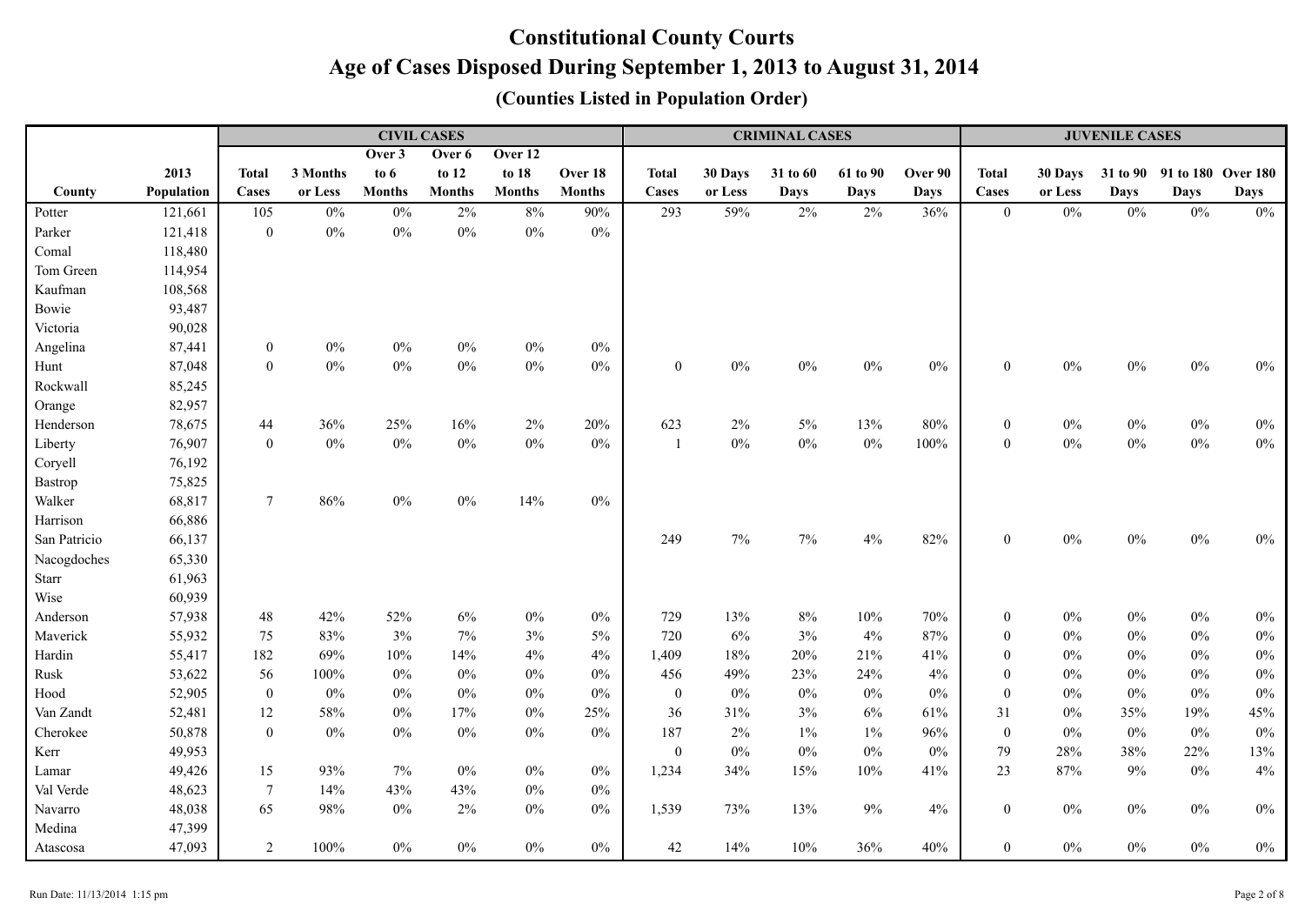|              |            |                  |          |               | <b>CIVIL CASES</b> |               |               |                  |         | <b>CRIMINAL CASES</b> |             |             | <b>JUVENILE CASES</b> |         |             |                    |             |  |
|--------------|------------|------------------|----------|---------------|--------------------|---------------|---------------|------------------|---------|-----------------------|-------------|-------------|-----------------------|---------|-------------|--------------------|-------------|--|
|              |            |                  |          | Over 3        | Over 6             | Over 12       |               |                  |         |                       |             |             |                       |         |             |                    |             |  |
|              | 2013       | <b>Total</b>     | 3 Months | to $6$        | to 12              | to $18$       | Over 18       | <b>Total</b>     | 30 Days | 31 to 60              | 61 to 90    | Over 90     | <b>Total</b>          | 30 Days | 31 to 90    | 91 to 180 Over 180 |             |  |
| County       | Population | Cases            | or Less  | <b>Months</b> | <b>Months</b>      | <b>Months</b> | <b>Months</b> | Cases            | or Less | <b>Days</b>           | <b>Days</b> | <b>Days</b> | Cases                 | or Less | <b>Days</b> | <b>Days</b>        | <b>Days</b> |  |
| Potter       | 121,661    | 105              | $0\%$    | $0\%$         | 2%                 | 8%            | 90%           | 293              | 59%     | 2%                    | 2%          | 36%         | $\mathbf{0}$          | $0\%$   | 0%          | $0\%$              | $0\%$       |  |
| Parker       | 121,418    | $\overline{0}$   | $0\%$    | $0\%$         | $0\%$              | $0\%$         | $0\%$         |                  |         |                       |             |             |                       |         |             |                    |             |  |
| Comal        | 118,480    |                  |          |               |                    |               |               |                  |         |                       |             |             |                       |         |             |                    |             |  |
| Tom Green    | 114,954    |                  |          |               |                    |               |               |                  |         |                       |             |             |                       |         |             |                    |             |  |
| Kaufman      | 108,568    |                  |          |               |                    |               |               |                  |         |                       |             |             |                       |         |             |                    |             |  |
| Bowie        | 93,487     |                  |          |               |                    |               |               |                  |         |                       |             |             |                       |         |             |                    |             |  |
| Victoria     | 90,028     |                  |          |               |                    |               |               |                  |         |                       |             |             |                       |         |             |                    |             |  |
| Angelina     | 87,441     | $\boldsymbol{0}$ | $0\%$    | $0\%$         | $0\%$              | $0\%$         | $0\%$         |                  |         |                       |             |             |                       |         |             |                    |             |  |
| Hunt         | 87,048     | $\boldsymbol{0}$ | $0\%$    | $0\%$         | $0\%$              | $0\%$         | $0\%$         | $\overline{0}$   | $0\%$   | $0\%$                 | $0\%$       | $0\%$       | $\boldsymbol{0}$      | $0\%$   | $0\%$       | $0\%$              | $0\%$       |  |
| Rockwall     | 85,245     |                  |          |               |                    |               |               |                  |         |                       |             |             |                       |         |             |                    |             |  |
| Orange       | 82,957     |                  |          |               |                    |               |               |                  |         |                       |             |             |                       |         |             |                    |             |  |
| Henderson    | 78,675     | $44\,$           | 36%      | 25%           | 16%                | $2\%$         | 20%           | 623              | $2\%$   | $5\%$                 | 13%         | 80%         | $\boldsymbol{0}$      | $0\%$   | $0\%$       | $0\%$              | $0\%$       |  |
| Liberty      | 76,907     | $\boldsymbol{0}$ | $0\%$    | $0\%$         | $0\%$              | $0\%$         | $0\%$         | -1               | $0\%$   | $0\%$                 | $0\%$       | 100%        | $\boldsymbol{0}$      | $0\%$   | $0\%$       | $0\%$              | $0\%$       |  |
| Coryell      | 76,192     |                  |          |               |                    |               |               |                  |         |                       |             |             |                       |         |             |                    |             |  |
| Bastrop      | 75,825     |                  |          |               |                    |               |               |                  |         |                       |             |             |                       |         |             |                    |             |  |
| Walker       | 68,817     | $\tau$           | $86\%$   | $0\%$         | $0\%$              | 14%           | $0\%$         |                  |         |                       |             |             |                       |         |             |                    |             |  |
| Harrison     | 66,886     |                  |          |               |                    |               |               |                  |         |                       |             |             |                       |         |             |                    |             |  |
| San Patricio | 66,137     |                  |          |               |                    |               |               | 249              | 7%      | $7\%$                 | $4\%$       | 82%         | $\mathbf{0}$          | $0\%$   | $0\%$       | $0\%$              | $0\%$       |  |
| Nacogdoches  | 65,330     |                  |          |               |                    |               |               |                  |         |                       |             |             |                       |         |             |                    |             |  |
| Starr        | 61,963     |                  |          |               |                    |               |               |                  |         |                       |             |             |                       |         |             |                    |             |  |
| Wise         | 60,939     |                  |          |               |                    |               |               |                  |         |                       |             |             |                       |         |             |                    |             |  |
| Anderson     | 57,938     | $48\,$           | 42%      | 52%           | $6\%$              | $0\%$         | $0\%$         | 729              | 13%     | $8\%$                 | 10%         | 70%         | $\boldsymbol{0}$      | $0\%$   | $0\%$       | $0\%$              | $0\%$       |  |
| Maverick     | 55,932     | 75               | 83%      | 3%            | $7\%$              | 3%            | $5\%$         | 720              | 6%      | 3%                    | 4%          | 87%         | $\boldsymbol{0}$      | $0\%$   | $0\%$       | $0\%$              | $0\%$       |  |
| Hardin       | 55,417     | 182              | 69%      | 10%           | 14%                | 4%            | 4%            | 1,409            | 18%     | 20%                   | 21%         | 41%         | $\mathbf{0}$          | $0\%$   | $0\%$       | $0\%$              | $0\%$       |  |
| Rusk         | 53,622     | 56               | 100%     | $0\%$         | $0\%$              | $0\%$         | $0\%$         | 456              | 49%     | 23%                   | 24%         | 4%          | $\mathbf{0}$          | $0\%$   | $0\%$       | $0\%$              | $0\%$       |  |
| Hood         | 52,905     | $\bf{0}$         | $0\%$    | $0\%$         | $0\%$              | $0\%$         | $0\%$         | $\mathbf{0}$     | $0\%$   | $0\%$                 | $0\%$       | $0\%$       | $\boldsymbol{0}$      | $0\%$   | $0\%$       | $0\%$              | $0\%$       |  |
| Van Zandt    | 52,481     | 12               | 58%      | $0\%$         | 17%                | $0\%$         | 25%           | 36               | 31%     | 3%                    | $6\%$       | $61\%$      | 31                    | $0\%$   | 35%         | 19%                | 45%         |  |
| Cherokee     | 50,878     | $\boldsymbol{0}$ | $0\%$    | $0\%$         | $0\%$              | $0\%$         | $0\%$         | 187              | $2\%$   | $1\%$                 | $1\%$       | $96\%$      | $\boldsymbol{0}$      | $0\%$   | $0\%$       | $0\%$              | $0\%$       |  |
| Kerr         | 49,953     |                  |          |               |                    |               |               | $\boldsymbol{0}$ | $0\%$   | $0\%$                 | $0\%$       | $0\%$       | 79                    | 28%     | 38%         | 22%                | 13%         |  |
| Lamar        | 49,426     | 15               | 93%      | 7%            | $0\%$              | $0\%$         | $0\%$         | 1,234            | 34%     | 15%                   | 10%         | 41%         | 23                    | 87%     | 9%          | $0\%$              | $4\%$       |  |
| Val Verde    | 48,623     | $\overline{7}$   | 14%      | 43%           | 43%                | $0\%$         | $0\%$         |                  |         |                       |             |             |                       |         |             |                    |             |  |
| Navarro      | 48,038     | 65               | 98%      | $0\%$         | 2%                 | $0\%$         | $0\%$         | 1,539            | 73%     | 13%                   | $9\%$       | 4%          | $\boldsymbol{0}$      | $0\%$   | $0\%$       | $0\%$              | $0\%$       |  |
| Medina       | 47,399     |                  |          |               |                    |               |               |                  |         |                       |             |             |                       |         |             |                    |             |  |
| Atascosa     | 47,093     | $\overline{2}$   | 100%     | $0\%$         | $0\%$              | $0\%$         | $0\%$         | 42               | 14%     | 10%                   | 36%         | 40%         | $\overline{0}$        | $0\%$   | $0\%$       | $0\%$              | $0\%$       |  |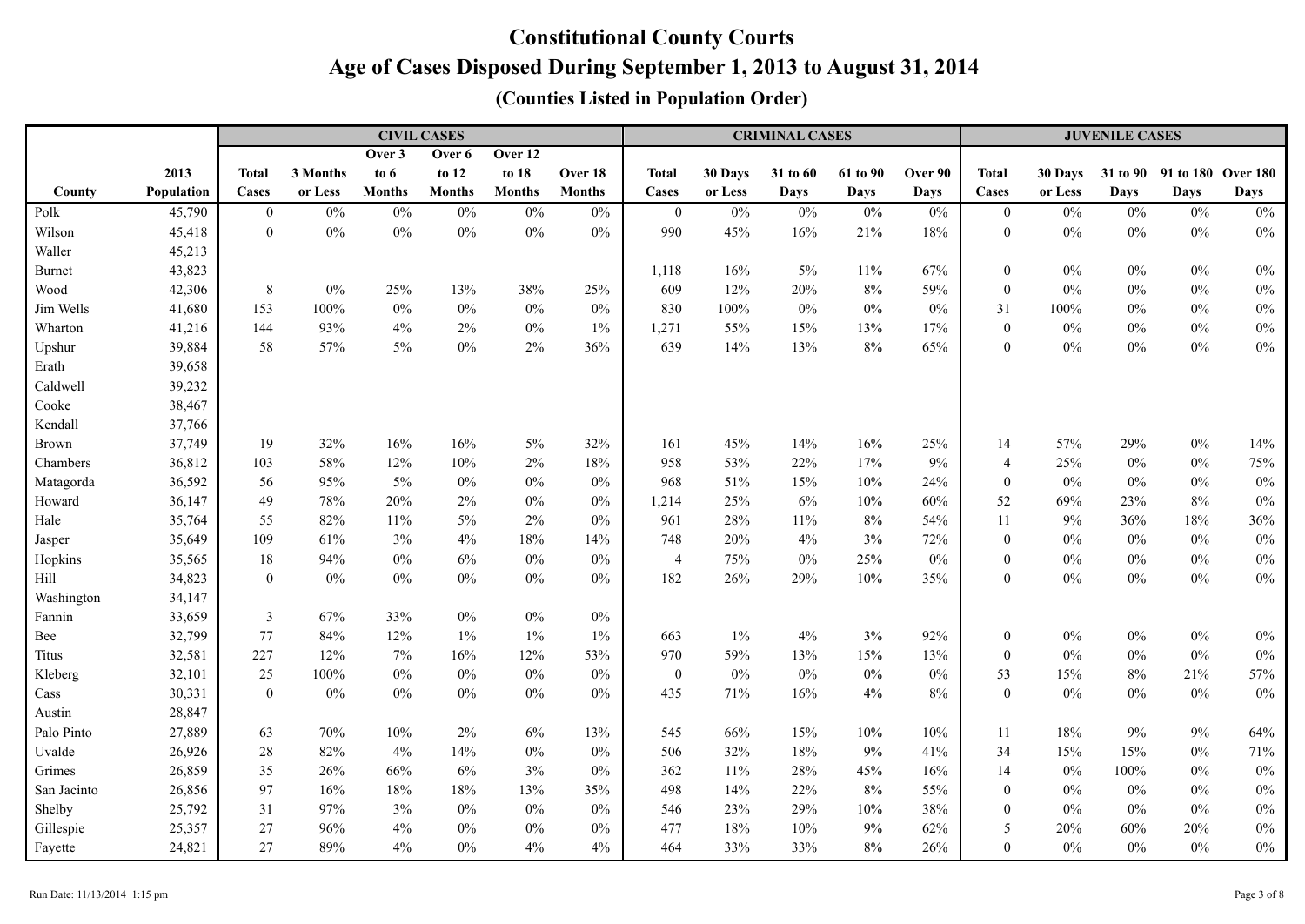|               |            |                  |          |               | <b>CIVIL CASES</b> |               |               |                |         | <b>CRIMINAL CASES</b> |             |             | <b>JUVENILE CASES</b> |         |             |                    |             |  |
|---------------|------------|------------------|----------|---------------|--------------------|---------------|---------------|----------------|---------|-----------------------|-------------|-------------|-----------------------|---------|-------------|--------------------|-------------|--|
|               |            |                  |          | Over 3        | Over 6             | Over 12       |               |                |         |                       |             |             |                       |         |             |                    |             |  |
|               | 2013       | <b>Total</b>     | 3 Months | to $6$        | to $12$            | to 18         | Over 18       | <b>Total</b>   | 30 Days | 31 to 60              | 61 to 90    | Over 90     | <b>Total</b>          | 30 Days | 31 to 90    | 91 to 180 Over 180 |             |  |
| County        | Population | Cases            | or Less  | <b>Months</b> | <b>Months</b>      | <b>Months</b> | <b>Months</b> | Cases          | or Less | <b>Days</b>           | <b>Days</b> | <b>Days</b> | Cases                 | or Less | <b>Days</b> | <b>Days</b>        | <b>Days</b> |  |
| Polk          | 45,790     | $\bf{0}$         | $0\%$    | $0\%$         | $0\%$              | $0\%$         | $0\%$         | $\bf{0}$       | $0\%$   | $0\%$                 | $0\%$       | $0\%$       | $\boldsymbol{0}$      | $0\%$   | $0\%$       | $0\%$              | $0\%$       |  |
| Wilson        | 45,418     | $\boldsymbol{0}$ | $0\%$    | $0\%$         | $0\%$              | $0\%$         | $0\%$         | 990            | 45%     | 16%                   | 21%         | 18%         | $\boldsymbol{0}$      | $0\%$   | $0\%$       | $0\%$              | $0\%$       |  |
| Waller        | 45,213     |                  |          |               |                    |               |               |                |         |                       |             |             |                       |         |             |                    |             |  |
| <b>Burnet</b> | 43,823     |                  |          |               |                    |               |               | 1,118          | 16%     | $5\%$                 | 11%         | 67%         | $\boldsymbol{0}$      | $0\%$   | $0\%$       | $0\%$              | $0\%$       |  |
| Wood          | 42,306     | $8\,$            | $0\%$    | 25%           | 13%                | 38%           | 25%           | 609            | 12%     | $20\%$                | 8%          | 59%         | $\boldsymbol{0}$      | $0\%$   | $0\%$       | $0\%$              | $0\%$       |  |
| Jim Wells     | 41,680     | 153              | 100%     | $0\%$         | $0\%$              | $0\%$         | $0\%$         | 830            | 100%    | $0\%$                 | $0\%$       | $0\%$       | 31                    | 100%    | $0\%$       | $0\%$              | $0\%$       |  |
| Wharton       | 41,216     | 144              | 93%      | 4%            | 2%                 | $0\%$         | $1\%$         | 1,271          | 55%     | 15%                   | 13%         | 17%         | $\boldsymbol{0}$      | $0\%$   | $0\%$       | $0\%$              | $0\%$       |  |
| Upshur        | 39,884     | 58               | 57%      | $5\%$         | $0\%$              | 2%            | 36%           | 639            | 14%     | 13%                   | 8%          | 65%         | $\overline{0}$        | $0\%$   | $0\%$       | $0\%$              | $0\%$       |  |
| Erath         | 39,658     |                  |          |               |                    |               |               |                |         |                       |             |             |                       |         |             |                    |             |  |
| Caldwell      | 39,232     |                  |          |               |                    |               |               |                |         |                       |             |             |                       |         |             |                    |             |  |
| Cooke         | 38,467     |                  |          |               |                    |               |               |                |         |                       |             |             |                       |         |             |                    |             |  |
| Kendall       | 37,766     |                  |          |               |                    |               |               |                |         |                       |             |             |                       |         |             |                    |             |  |
| Brown         | 37,749     | 19               | 32%      | 16%           | 16%                | 5%            | 32%           | 161            | 45%     | 14%                   | 16%         | 25%         | 14                    | 57%     | 29%         | $0\%$              | 14%         |  |
| Chambers      | 36,812     | 103              | 58%      | 12%           | 10%                | 2%            | 18%           | 958            | 53%     | 22%                   | 17%         | $9\%$       | $\overline{4}$        | 25%     | $0\%$       | $0\%$              | 75%         |  |
| Matagorda     | 36,592     | 56               | 95%      | 5%            | $0\%$              | $0\%$         | $0\%$         | 968            | 51%     | 15%                   | 10%         | 24%         | $\boldsymbol{0}$      | $0\%$   | $0\%$       | $0\%$              | $0\%$       |  |
| Howard        | 36,147     | 49               | 78%      | 20%           | 2%                 | $0\%$         | $0\%$         | 1,214          | 25%     | $6\%$                 | 10%         | $60\%$      | 52                    | 69%     | 23%         | $8\%$              | $0\%$       |  |
| Hale          | 35,764     | 55               | 82%      | 11%           | $5\%$              | $2\%$         | $0\%$         | 961            | 28%     | $11\%$                | $8\%$       | 54%         | 11                    | 9%      | 36%         | $18\%$             | 36%         |  |
| Jasper        | 35,649     | 109              | 61%      | 3%            | $4\%$              | $18\%$        | 14%           | 748            | 20%     | $4\%$                 | 3%          | 72%         | $\boldsymbol{0}$      | $0\%$   | $0\%$       | $0\%$              | $0\%$       |  |
| Hopkins       | 35,565     | 18               | 94%      | $0\%$         | 6%                 | $0\%$         | $0\%$         | $\overline{4}$ | 75%     | $0\%$                 | 25%         | $0\%$       | $\boldsymbol{0}$      | $0\%$   | $0\%$       | $0\%$              | $0\%$       |  |
| Hill          | 34,823     | $\boldsymbol{0}$ | $0\%$    | $0\%$         | $0\%$              | $0\%$         | $0\%$         | 182            | 26%     | 29%                   | $10\%$      | 35%         | $\boldsymbol{0}$      | $0\%$   | $0\%$       | $0\%$              | $0\%$       |  |
| Washington    | 34,147     |                  |          |               |                    |               |               |                |         |                       |             |             |                       |         |             |                    |             |  |
| Fannin        | 33,659     | $\mathfrak{Z}$   | 67%      | 33%           | $0\%$              | $0\%$         | $0\%$         |                |         |                       |             |             |                       |         |             |                    |             |  |
| Bee           | 32,799     | 77               | 84%      | 12%           | $1\%$              | $1\%$         | $1\%$         | 663            | $1\%$   | 4%                    | 3%          | 92%         | $\boldsymbol{0}$      | $0\%$   | $0\%$       | $0\%$              | $0\%$       |  |
| Titus         | 32,581     | 227              | 12%      | $7\%$         | $16\%$             | 12%           | 53%           | 970            | 59%     | 13%                   | 15%         | 13%         | $\boldsymbol{0}$      | $0\%$   | $0\%$       | $0\%$              | $0\%$       |  |
| Kleberg       | 32,101     | 25               | 100%     | $0\%$         | $0\%$              | $0\%$         | $0\%$         | $\overline{0}$ | $0\%$   | $0\%$                 | $0\%$       | $0\%$       | 53                    | 15%     | $8\%$       | 21%                | 57%         |  |
| Cass          | 30,331     | $\boldsymbol{0}$ | $0\%$    | $0\%$         | $0\%$              | $0\%$         | $0\%$         | 435            | 71%     | 16%                   | 4%          | $8\%$       | $\boldsymbol{0}$      | $0\%$   | $0\%$       | $0\%$              | $0\%$       |  |
| Austin        | 28,847     |                  |          |               |                    |               |               |                |         |                       |             |             |                       |         |             |                    |             |  |
| Palo Pinto    | 27,889     | 63               | 70%      | $10\%$        | $2\%$              | $6\%$         | 13%           | 545            | 66%     | 15%                   | $10\%$      | $10\%$      | 11                    | 18%     | $9\%$       | $9\%$              | 64%         |  |
| Uvalde        | 26,926     | 28               | 82%      | 4%            | 14%                | $0\%$         | $0\%$         | 506            | 32%     | 18%                   | 9%          | 41%         | 34                    | 15%     | 15%         | $0\%$              | 71%         |  |
| Grimes        | 26,859     | 35               | 26%      | 66%           | 6%                 | 3%            | 0%            | 362            | 11%     | 28%                   | 45%         | 16%         | 14                    | $0\%$   | 100%        | $0\%$              | $0\%$       |  |
| San Jacinto   | 26,856     | 97               | 16%      | 18%           | 18%                | 13%           | 35%           | 498            | 14%     | 22%                   | 8%          | 55%         | $\boldsymbol{0}$      | $0\%$   | $0\%$       | $0\%$              | $0\%$       |  |
| Shelby        | 25,792     | 31               | 97%      | 3%            | $0\%$              | $0\%$         | $0\%$         | 546            | 23%     | 29%                   | 10%         | 38%         | $\boldsymbol{0}$      | $0\%$   | $0\%$       | $0\%$              | $0\%$       |  |
| Gillespie     | 25,357     | $27\,$           | 96%      | 4%            | $0\%$              | $0\%$         | $0\%$         | 477            | 18%     | 10%                   | 9%          | 62%         | 5                     | 20%     | 60%         | 20%                | $0\%$       |  |
| Fayette       | 24,821     | 27               | 89%      | 4%            | $0\%$              | 4%            | 4%            | 464            | 33%     | 33%                   | 8%          | 26%         | $\boldsymbol{0}$      | $0\%$   | $0\%$       | $0\%$              | $0\%$       |  |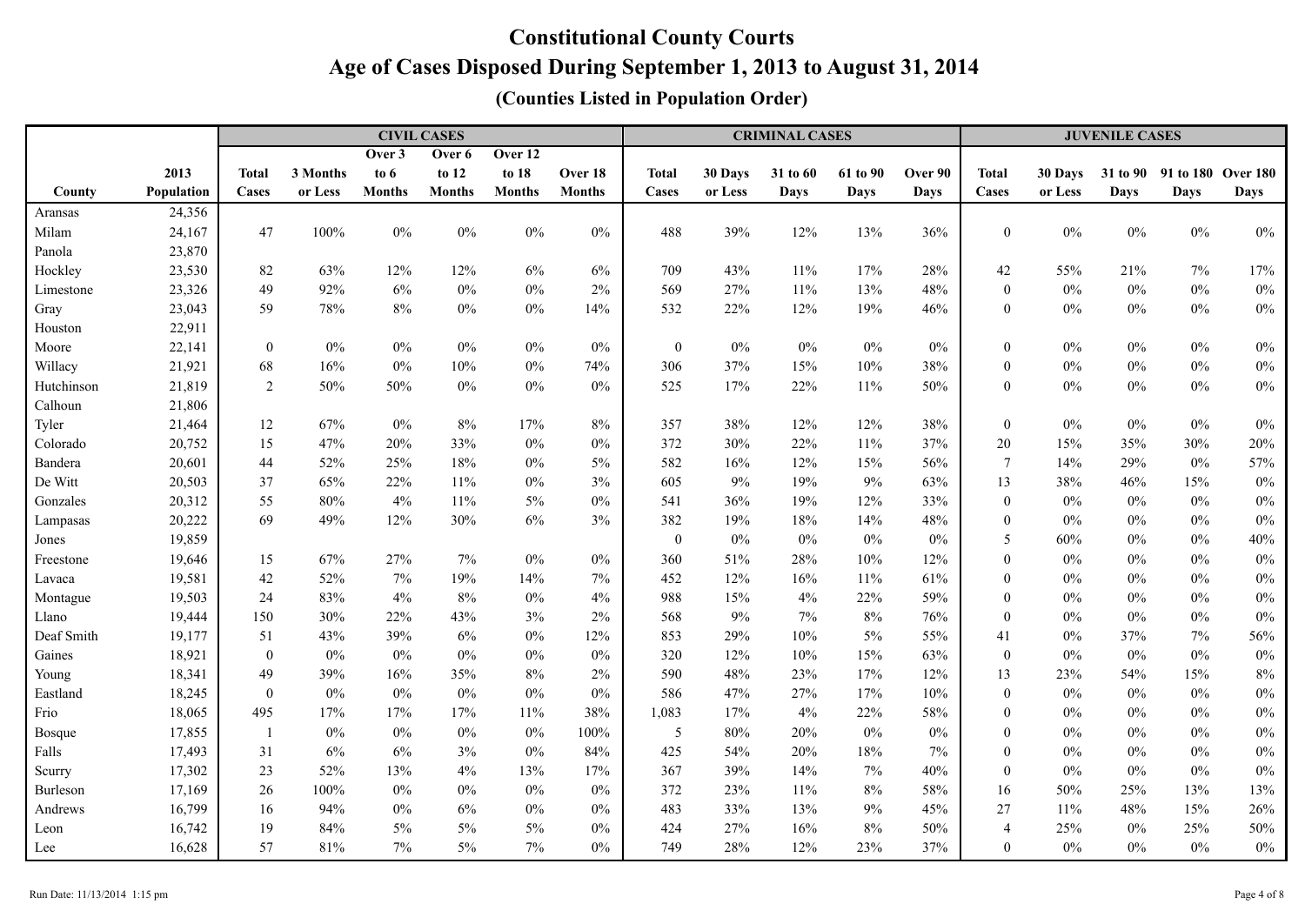|            |            |                  |          |               | <b>CIVIL CASES</b> |               |               |                  |         | <b>CRIMINAL CASES</b> |             |             | <b>JUVENILE CASES</b> |         |                 |                    |             |
|------------|------------|------------------|----------|---------------|--------------------|---------------|---------------|------------------|---------|-----------------------|-------------|-------------|-----------------------|---------|-----------------|--------------------|-------------|
|            |            |                  |          | Over 3        | Over 6             | Over 12       |               |                  |         |                       |             |             |                       |         |                 |                    |             |
|            | 2013       | <b>Total</b>     | 3 Months | to $6$        | to 12              | to 18         | Over 18       | <b>Total</b>     | 30 Days | 31 to 60              | 61 to 90    | Over 90     | <b>Total</b>          | 30 Days | <b>31 to 90</b> | 91 to 180 Over 180 |             |
| County     | Population | Cases            | or Less  | <b>Months</b> | <b>Months</b>      | <b>Months</b> | <b>Months</b> | Cases            | or Less | <b>Days</b>           | <b>Days</b> | <b>Days</b> | Cases                 | or Less | <b>Days</b>     | <b>Days</b>        | <b>Days</b> |
| Aransas    | 24,356     |                  |          |               |                    |               |               |                  |         |                       |             |             |                       |         |                 |                    |             |
| Milam      | 24,167     | 47               | 100%     | $0\%$         | $0\%$              | $0\%$         | $0\%$         | 488              | 39%     | 12%                   | 13%         | 36%         | $\boldsymbol{0}$      | $0\%$   | $0\%$           | $0\%$              | $0\%$       |
| Panola     | 23,870     |                  |          |               |                    |               |               |                  |         |                       |             |             |                       |         |                 |                    |             |
| Hockley    | 23,530     | 82               | 63%      | 12%           | 12%                | $6\%$         | 6%            | 709              | 43%     | 11%                   | 17%         | 28%         | 42                    | 55%     | 21%             | 7%                 | 17%         |
| Limestone  | 23,326     | 49               | 92%      | 6%            | $0\%$              | $0\%$         | 2%            | 569              | 27%     | 11%                   | 13%         | 48%         | $\mathbf{0}$          | $0\%$   | $0\%$           | $0\%$              | $0\%$       |
| Gray       | 23,043     | 59               | 78%      | 8%            | $0\%$              | $0\%$         | 14%           | 532              | 22%     | 12%                   | 19%         | 46%         | $\mathbf{0}$          | $0\%$   | $0\%$           | $0\%$              | $0\%$       |
| Houston    | 22,911     |                  |          |               |                    |               |               |                  |         |                       |             |             |                       |         |                 |                    |             |
| Moore      | 22,141     | $\overline{0}$   | $0\%$    | $0\%$         | $0\%$              | $0\%$         | $0\%$         | $\boldsymbol{0}$ | $0\%$   | $0\%$                 | $0\%$       | $0\%$       | $\mathbf{0}$          | $0\%$   | $0\%$           | $0\%$              | $0\%$       |
| Willacy    | 21,921     | 68               | 16%      | $0\%$         | 10%                | $0\%$         | 74%           | 306              | 37%     | 15%                   | 10%         | 38%         | $\mathbf{0}$          | $0\%$   | $0\%$           | $0\%$              | $0\%$       |
| Hutchinson | 21,819     | 2                | 50%      | 50%           | $0\%$              | $0\%$         | $0\%$         | 525              | 17%     | 22%                   | 11%         | 50%         | $\mathbf{0}$          | $0\%$   | 0%              | $0\%$              | $0\%$       |
| Calhoun    | 21,806     |                  |          |               |                    |               |               |                  |         |                       |             |             |                       |         |                 |                    |             |
| Tyler      | 21,464     | 12               | 67%      | $0\%$         | $8\%$              | $17\%$        | 8%            | 357              | 38%     | 12%                   | 12%         | 38%         | $\boldsymbol{0}$      | $0\%$   | $0\%$           | $0\%$              | $0\%$       |
| Colorado   | 20,752     | 15               | 47%      | 20%           | 33%                | $0\%$         | $0\%$         | 372              | 30%     | 22%                   | 11%         | 37%         | 20                    | 15%     | 35%             | 30%                | 20%         |
| Bandera    | 20,601     | 44               | 52%      | 25%           | 18%                | $0\%$         | 5%            | 582              | 16%     | 12%                   | 15%         | 56%         | $\overline{7}$        | 14%     | 29%             | $0\%$              | 57%         |
| De Witt    | 20,503     | 37               | 65%      | 22%           | $11\%$             | $0\%$         | 3%            | 605              | 9%      | 19%                   | 9%          | 63%         | 13                    | 38%     | 46%             | 15%                | $0\%$       |
| Gonzales   | 20,312     | 55               | 80%      | 4%            | $11\%$             | $5\%$         | $0\%$         | 541              | 36%     | 19%                   | 12%         | 33%         | $\mathbf{0}$          | $0\%$   | $0\%$           | $0\%$              | $0\%$       |
| Lampasas   | 20,222     | 69               | 49%      | 12%           | 30%                | $6\%$         | 3%            | 382              | 19%     | 18%                   | 14%         | 48%         | $\mathbf{0}$          | $0\%$   | $0\%$           | $0\%$              | $0\%$       |
| Jones      | 19,859     |                  |          |               |                    |               |               | $\mathbf{0}$     | $0\%$   | $0\%$                 | $0\%$       | $0\%$       | 5                     | $60\%$  | 0%              | $0\%$              | 40%         |
| Freestone  | 19,646     | 15               | 67%      | 27%           | $7\%$              | $0\%$         | $0\%$         | 360              | 51%     | 28%                   | 10%         | 12%         | $\mathbf{0}$          | $0\%$   | 0%              | $0\%$              | $0\%$       |
| Lavaca     | 19,581     | 42               | 52%      | 7%            | 19%                | 14%           | 7%            | 452              | 12%     | 16%                   | $11\%$      | 61%         | $\boldsymbol{0}$      | $0\%$   | $0\%$           | $0\%$              | $0\%$       |
| Montague   | 19,503     | 24               | 83%      | 4%            | 8%                 | $0\%$         | 4%            | 988              | 15%     | 4%                    | 22%         | 59%         | $\mathbf{0}$          | $0\%$   | $0\%$           | $0\%$              | $0\%$       |
| Llano      | 19,444     | 150              | 30%      | 22%           | 43%                | 3%            | 2%            | 568              | 9%      | 7%                    | $8\%$       | 76%         | $\theta$              | $0\%$   | $0\%$           | $0\%$              | $0\%$       |
| Deaf Smith | 19,177     | 51               | 43%      | 39%           | 6%                 | $0\%$         | 12%           | 853              | 29%     | 10%                   | $5\%$       | 55%         | 41                    | $0\%$   | 37%             | 7%                 | 56%         |
| Gaines     | 18,921     | $\boldsymbol{0}$ | $0\%$    | $0\%$         | $0\%$              | $0\%$         | $0\%$         | 320              | 12%     | 10%                   | 15%         | 63%         | $\mathbf{0}$          | $0\%$   | $0\%$           | $0\%$              | $0\%$       |
| Young      | 18,341     | 49               | 39%      | 16%           | 35%                | $8\%$         | 2%            | 590              | 48%     | 23%                   | 17%         | 12%         | 13                    | 23%     | 54%             | 15%                | $8\%$       |
| Eastland   | 18,245     | $\boldsymbol{0}$ | $0\%$    | $0\%$         | $0\%$              | $0\%$         | $0\%$         | 586              | 47%     | 27%                   | 17%         | 10%         | $\boldsymbol{0}$      | $0\%$   | $0\%$           | $0\%$              | $0\%$       |
| Frio       | 18,065     | 495              | 17%      | 17%           | 17%                | $11\%$        | 38%           | 1,083            | 17%     | 4%                    | 22%         | 58%         | $\theta$              | $0\%$   | $0\%$           | $0\%$              | $0\%$       |
| Bosque     | 17,855     | $\mathbf{1}$     | $0\%$    | $0\%$         | $0\%$              | $0\%$         | 100%          | $\sqrt{5}$       | $80\%$  | 20%                   | $0\%$       | $0\%$       | $\theta$              | $0\%$   | $0\%$           | $0\%$              | $0\%$       |
| Falls      | 17,493     | 31               | 6%       | 6%            | 3%                 | $0\%$         | 84%           | 425              | 54%     | 20%                   | 18%         | 7%          | $\mathbf{0}$          | $0\%$   | $0\%$           | 0%                 | $0\%$       |
| Scurry     | 17,302     | 23               | 52%      | 13%           | 4%                 | 13%           | 17%           | 367              | 39%     | 14%                   | $7\%$       | 40%         | $\theta$              | $0\%$   | 0%              | 0%                 | $0\%$       |
| Burleson   | 17,169     | 26               | 100%     | $0\%$         | $0\%$              | $0\%$         | $0\%$         | 372              | 23%     | 11%                   | $8\%$       | 58%         | 16                    | 50%     | 25%             | 13%                | 13%         |
| Andrews    | 16,799     | 16               | 94%      | $0\%$         | $6\%$              | $0\%$         | $0\%$         | 483              | 33%     | 13%                   | $9\%$       | 45%         | 27                    | 11%     | 48%             | 15%                | 26%         |
| Leon       | 16,742     | 19               | 84%      | 5%            | 5%                 | $5\%$         | $0\%$         | 424              | 27%     | 16%                   | $8\%$       | 50%         | $\overline{4}$        | 25%     | $0\%$           | 25%                | 50%         |
| Lee        | 16,628     | 57               | 81%      | 7%            | $5\%$              | $7\%$         | $0\%$         | 749              | 28%     | 12%                   | 23%         | 37%         | $\boldsymbol{0}$      | $0\%$   | 0%              | $0\%$              | $0\%$       |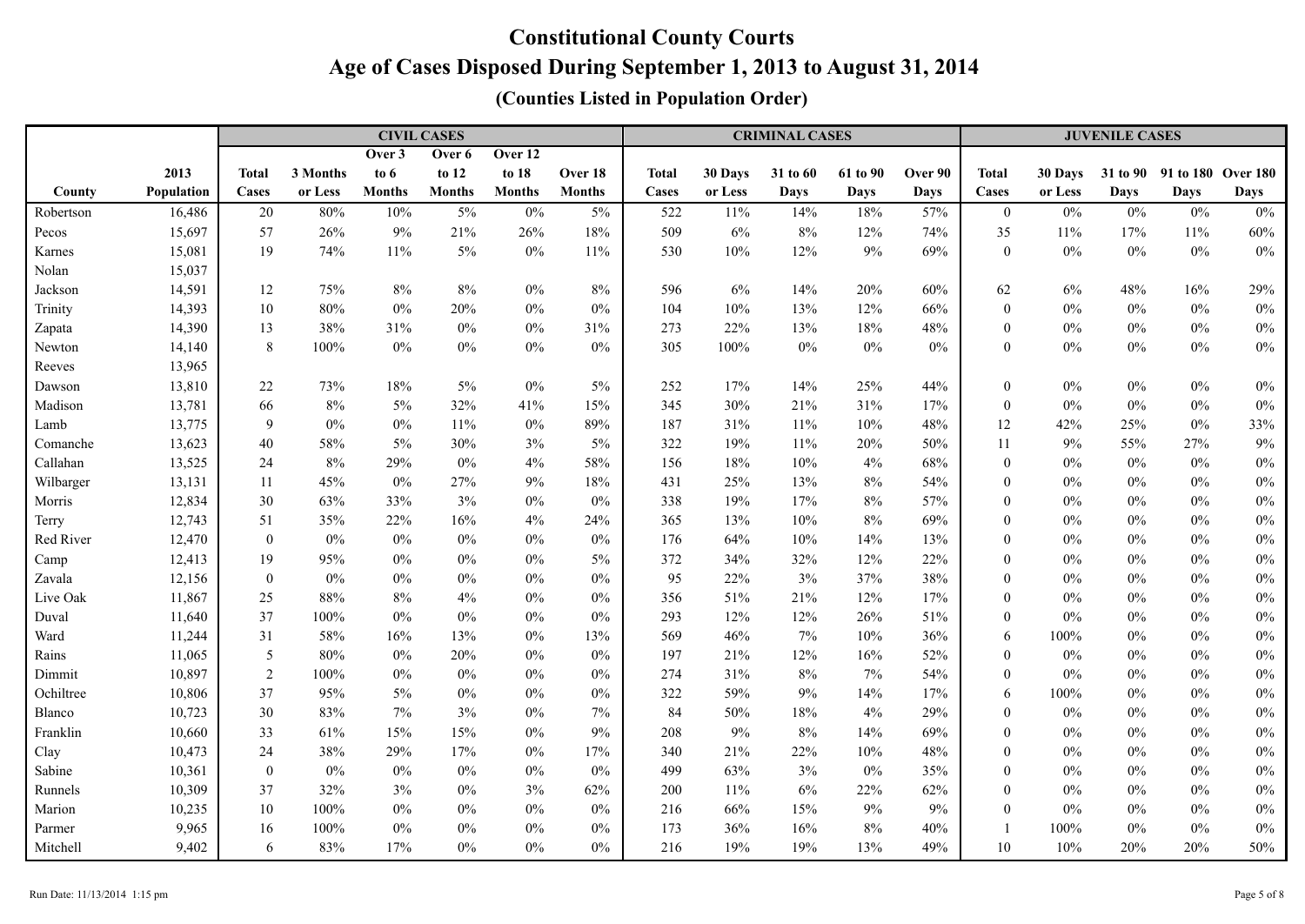|           |            |                  |          |               | <b>CIVIL CASES</b> |               |               | <b>CRIMINAL CASES</b> |         |             |          |             |                  | <b>JUVENILE CASES</b> |       |                             |       |  |  |
|-----------|------------|------------------|----------|---------------|--------------------|---------------|---------------|-----------------------|---------|-------------|----------|-------------|------------------|-----------------------|-------|-----------------------------|-------|--|--|
|           |            |                  |          | Over 3        | Over 6             | Over 12       |               |                       |         |             |          |             |                  |                       |       |                             |       |  |  |
|           | 2013       | <b>Total</b>     | 3 Months | to 6          | to 12              | to 18         | Over 18       | <b>Total</b>          | 30 Days | 31 to 60    | 61 to 90 | Over 90     | <b>Total</b>     | 30 Days               |       | 31 to 90 91 to 180 Over 180 |       |  |  |
| County    | Population | Cases            | or Less  | <b>Months</b> | <b>Months</b>      | <b>Months</b> | <b>Months</b> | Cases                 | or Less | <b>Days</b> | Days     | <b>Days</b> | Cases            | or Less               | Days  | <b>Days</b>                 | Days  |  |  |
| Robertson | 16,486     | 20               | 80%      | 10%           | $5\%$              | $0\%$         | 5%            | 522                   | 11%     | 14%         | 18%      | 57%         | $\mathbf{0}$     | $0\%$                 | $0\%$ | $0\%$                       | $0\%$ |  |  |
| Pecos     | 15,697     | 57               | 26%      | 9%            | 21%                | 26%           | 18%           | 509                   | 6%      | 8%          | 12%      | 74%         | 35               | $11\%$                | 17%   | 11%                         | 60%   |  |  |
| Karnes    | 15,081     | 19               | 74%      | $11\%$        | $5\%$              | $0\%$         | 11%           | 530                   | 10%     | 12%         | $9\%$    | 69%         | $\boldsymbol{0}$ | $0\%$                 | $0\%$ | $0\%$                       | $0\%$ |  |  |
| Nolan     | 15,037     |                  |          |               |                    |               |               |                       |         |             |          |             |                  |                       |       |                             |       |  |  |
| Jackson   | 14,591     | 12               | 75%      | $8\%$         | $8\%$              | $0\%$         | 8%            | 596                   | $6\%$   | 14%         | 20%      | 60%         | 62               | 6%                    | 48%   | 16%                         | 29%   |  |  |
| Trinity   | 14,393     | 10               | 80%      | $0\%$         | 20%                | $0\%$         | $0\%$         | 104                   | 10%     | 13%         | 12%      | 66%         | $\boldsymbol{0}$ | $0\%$                 | $0\%$ | $0\%$                       | $0\%$ |  |  |
| Zapata    | 14,390     | 13               | 38%      | 31%           | $0\%$              | $0\%$         | 31%           | 273                   | 22%     | 13%         | 18%      | 48%         | $\boldsymbol{0}$ | $0\%$                 | $0\%$ | $0\%$                       | $0\%$ |  |  |
| Newton    | 14,140     | 8                | 100%     | $0\%$         | $0\%$              | $0\%$         | $0\%$         | 305                   | 100%    | $0\%$       | $0\%$    | $0\%$       | $\mathbf{0}$     | $0\%$                 | $0\%$ | $0\%$                       | $0\%$ |  |  |
| Reeves    | 13,965     |                  |          |               |                    |               |               |                       |         |             |          |             |                  |                       |       |                             |       |  |  |
| Dawson    | 13,810     | 22               | 73%      | 18%           | $5\%$              | $0\%$         | 5%            | 252                   | 17%     | 14%         | 25%      | 44%         | $\boldsymbol{0}$ | $0\%$                 | $0\%$ | $0\%$                       | $0\%$ |  |  |
| Madison   | 13,781     | 66               | $8\%$    | 5%            | 32%                | 41%           | 15%           | 345                   | 30%     | 21%         | 31%      | 17%         | $\boldsymbol{0}$ | $0\%$                 | $0\%$ | $0\%$                       | $0\%$ |  |  |
| Lamb      | 13,775     | 9                | $0\%$    | $0\%$         | 11%                | $0\%$         | 89%           | 187                   | 31%     | $11\%$      | 10%      | 48%         | 12               | 42%                   | 25%   | $0\%$                       | 33%   |  |  |
| Comanche  | 13,623     | $40\,$           | 58%      | 5%            | 30%                | $3\%$         | 5%            | 322                   | 19%     | $11\%$      | 20%      | 50%         | 11               | 9%                    | 55%   | 27%                         | $9\%$ |  |  |
| Callahan  | 13,525     | 24               | $8\%$    | 29%           | $0\%$              | 4%            | 58%           | 156                   | 18%     | 10%         | 4%       | 68%         | $\mathbf{0}$     | $0\%$                 | $0\%$ | $0\%$                       | $0\%$ |  |  |
| Wilbarger | 13,131     | 11               | 45%      | $0\%$         | 27%                | $9\%$         | 18%           | 431                   | 25%     | 13%         | $8\%$    | 54%         | $\mathbf{0}$     | $0\%$                 | 0%    | $0\%$                       | $0\%$ |  |  |
| Morris    | 12,834     | 30               | 63%      | 33%           | 3%                 | $0\%$         | $0\%$         | 338                   | 19%     | 17%         | $8\%$    | 57%         | $\mathbf{0}$     | $0\%$                 | $0\%$ | $0\%$                       | $0\%$ |  |  |
| Terry     | 12,743     | 51               | 35%      | 22%           | 16%                | 4%            | 24%           | 365                   | 13%     | 10%         | $8\%$    | 69%         | $\mathbf{0}$     | $0\%$                 | $0\%$ | $0\%$                       | $0\%$ |  |  |
| Red River | 12,470     | $\boldsymbol{0}$ | $0\%$    | $0\%$         | $0\%$              | $0\%$         | $0\%$         | 176                   | 64%     | 10%         | 14%      | 13%         | $\mathbf{0}$     | $0\%$                 | 0%    | $0\%$                       | $0\%$ |  |  |
| Camp      | 12,413     | 19               | 95%      | $0\%$         | $0\%$              | $0\%$         | 5%            | 372                   | 34%     | 32%         | 12%      | 22%         | $\mathbf{0}$     | $0\%$                 | 0%    | $0\%$                       | $0\%$ |  |  |
| Zavala    | 12,156     | $\overline{0}$   | $0\%$    | $0\%$         | $0\%$              | $0\%$         | $0\%$         | 95                    | 22%     | 3%          | 37%      | 38%         | $\mathbf{0}$     | $0\%$                 | $0\%$ | $0\%$                       | $0\%$ |  |  |
| Live Oak  | 11,867     | 25               | 88%      | 8%            | 4%                 | $0\%$         | 0%            | 356                   | 51%     | 21%         | 12%      | 17%         | $\mathbf{0}$     | $0\%$                 | $0\%$ | $0\%$                       | $0\%$ |  |  |
| Duval     | 11,640     | 37               | 100%     | $0\%$         | $0\%$              | $0\%$         | $0\%$         | 293                   | 12%     | 12%         | 26%      | 51%         | $\mathbf{0}$     | $0\%$                 | $0\%$ | $0\%$                       | $0\%$ |  |  |
| Ward      | 11,244     | 31               | 58%      | 16%           | 13%                | $0\%$         | 13%           | 569                   | 46%     | 7%          | 10%      | 36%         | 6                | 100%                  | $0\%$ | $0\%$                       | $0\%$ |  |  |
| Rains     | 11,065     | $\mathfrak{S}$   | 80%      | $0\%$         | 20%                | $0\%$         | $0\%$         | 197                   | 21%     | 12%         | $16\%$   | 52%         | $\boldsymbol{0}$ | $0\%$                 | $0\%$ | $0\%$                       | $0\%$ |  |  |
| Dimmit    | 10,897     | $\sqrt{2}$       | $100\%$  | $0\%$         | $0\%$              | $0\%$         | $0\%$         | 274                   | 31%     | $8\%$       | $7\%$    | 54%         | $\boldsymbol{0}$ | $0\%$                 | $0\%$ | $0\%$                       | $0\%$ |  |  |
| Ochiltree | 10,806     | 37               | 95%      | 5%            | $0\%$              | $0\%$         | 0%            | 322                   | 59%     | 9%          | 14%      | 17%         | 6                | 100%                  | $0\%$ | $0\%$                       | $0\%$ |  |  |
| Blanco    | 10,723     | 30               | 83%      | 7%            | 3%                 | $0\%$         | 7%            | 84                    | 50%     | 18%         | $4\%$    | 29%         | $\boldsymbol{0}$ | $0\%$                 | $0\%$ | $0\%$                       | $0\%$ |  |  |
| Franklin  | 10,660     | 33               | 61%      | 15%           | $15\%$             | $0\%$         | 9%            | 208                   | 9%      | $8\%$       | 14%      | 69%         | $\boldsymbol{0}$ | $0\%$                 | $0\%$ | $0\%$                       | $0\%$ |  |  |
| Clay      | 10,473     | 24               | 38%      | 29%           | 17%                | $0\%$         | 17%           | 340                   | 21%     | 22%         | 10%      | 48%         | $\mathbf{0}$     | $0\%$                 | $0\%$ | $0\%$                       | $0\%$ |  |  |
| Sabine    | 10,361     | $\mathbf{0}$     | $0\%$    | $0\%$         | $0\%$              | $0\%$         | $0\%$         | 499                   | 63%     | 3%          | $0\%$    | 35%         | $\mathbf{0}$     | $0\%$                 | 0%    | $0\%$                       | $0\%$ |  |  |
| Runnels   | 10,309     | 37               | 32%      | 3%            | $0\%$              | 3%            | 62%           | 200                   | 11%     | 6%          | 22%      | 62%         | $\mathbf{0}$     | $0\%$                 | $0\%$ | $0\%$                       | $0\%$ |  |  |
| Marion    | 10,235     | 10               | 100%     | $0\%$         | $0\%$              | $0\%$         | $0\%$         | 216                   | 66%     | 15%         | $9\%$    | 9%          | $\mathbf{0}$     | $0\%$                 | $0\%$ | $0\%$                       | $0\%$ |  |  |
| Parmer    | 9,965      | 16               | 100%     | $0\%$         | $0\%$              | $0\%$         | $0\%$         | 173                   | 36%     | 16%         | $8\%$    | 40%         | $\overline{1}$   | 100%                  | 0%    | 0%                          | $0\%$ |  |  |
| Mitchell  | 9,402      | $\sqrt{6}$       | 83%      | 17%           | $0\%$              | $0\%$         | $0\%$         | 216                   | 19%     | 19%         | 13%      | 49%         | 10               | 10%                   | 20%   | 20%                         | 50%   |  |  |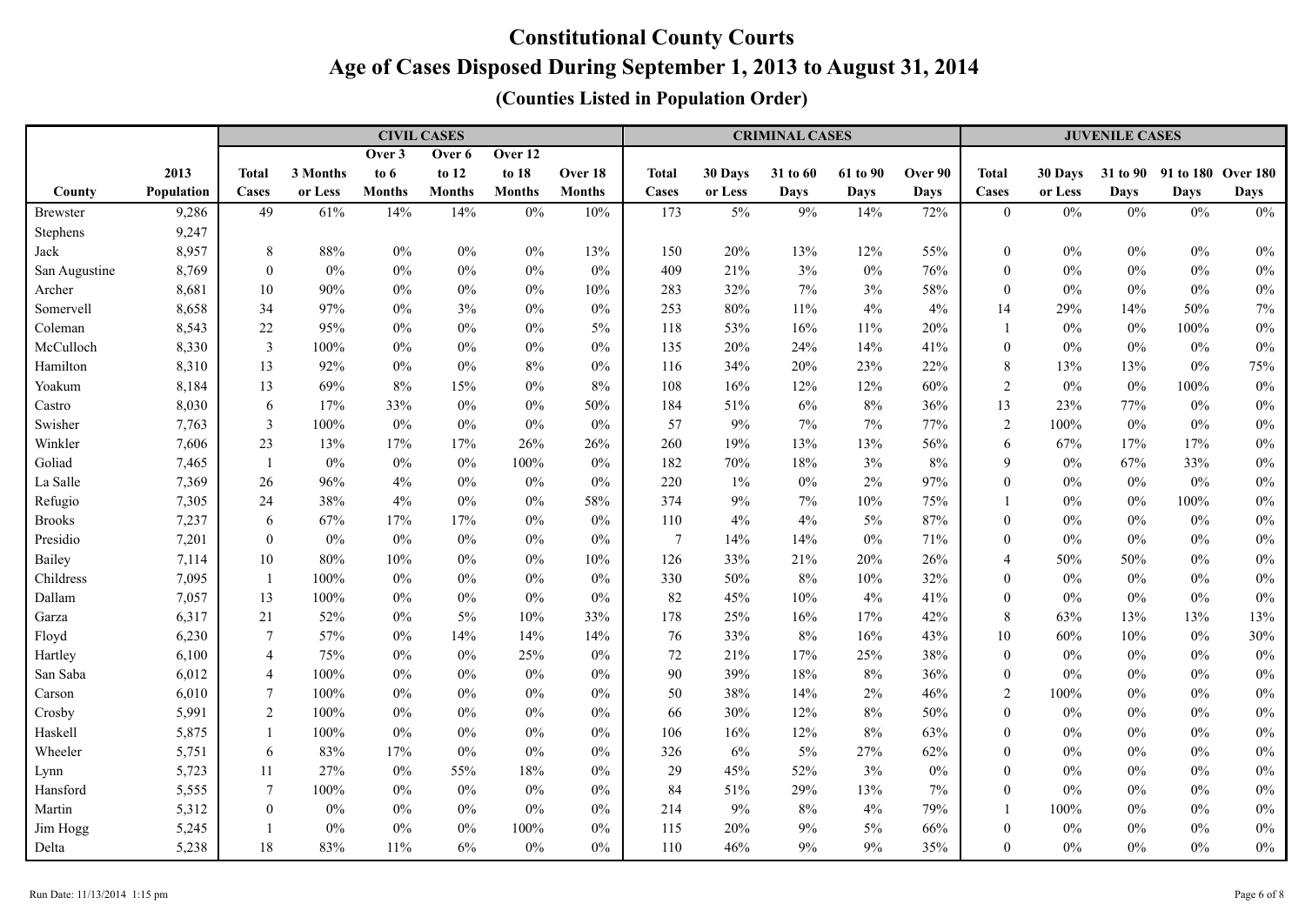|                 |            |                  |          |               | <b>CIVIL CASES</b> |               |               |                |         | <b>CRIMINAL CASES</b> |             |             | <b>JUVENILE CASES</b> |         |             |                             |             |  |
|-----------------|------------|------------------|----------|---------------|--------------------|---------------|---------------|----------------|---------|-----------------------|-------------|-------------|-----------------------|---------|-------------|-----------------------------|-------------|--|
|                 |            |                  |          | Over 3        | Over 6             | Over 12       |               |                |         |                       |             |             |                       |         |             |                             |             |  |
|                 | 2013       | <b>Total</b>     | 3 Months | to $6$        | to 12              | to 18         | Over 18       | <b>Total</b>   | 30 Days | 31 to 60              | 61 to 90    | Over 90     | Total                 | 30 Days |             | 31 to 90 91 to 180 Over 180 |             |  |
| County          | Population | Cases            | or Less  | <b>Months</b> | <b>Months</b>      | <b>Months</b> | <b>Months</b> | Cases          | or Less | <b>Days</b>           | <b>Days</b> | <b>Days</b> | Cases                 | or Less | <b>Days</b> | Days                        | <b>Days</b> |  |
| <b>Brewster</b> | 9,286      | 49               | 61%      | 14%           | 14%                | $0\%$         | 10%           | 173            | $5\%$   | 9%                    | 14%         | 72%         | $\boldsymbol{0}$      | $0\%$   | $0\%$       | 0%                          | $0\%$       |  |
| Stephens        | 9,247      |                  |          |               |                    |               |               |                |         |                       |             |             |                       |         |             |                             |             |  |
| Jack            | 8,957      | 8                | 88%      | $0\%$         | $0\%$              | $0\%$         | 13%           | 150            | 20%     | 13%                   | 12%         | 55%         | $\mathbf{0}$          | $0\%$   | $0\%$       | $0\%$                       | $0\%$       |  |
| San Augustine   | 8,769      | $\overline{0}$   | $0\%$    | $0\%$         | $0\%$              | $0\%$         | $0\%$         | 409            | 21%     | 3%                    | $0\%$       | 76%         | $\mathbf{0}$          | $0\%$   | $0\%$       | $0\%$                       | $0\%$       |  |
| Archer          | 8,681      | 10               | 90%      | $0\%$         | $0\%$              | $0\%$         | 10%           | 283            | 32%     | 7%                    | $3\%$       | 58%         | $\mathbf{0}$          | $0\%$   | $0\%$       | $0\%$                       | $0\%$       |  |
| Somervell       | 8,658      | 34               | 97%      | $0\%$         | 3%                 | $0\%$         | $0\%$         | 253            | 80%     | 11%                   | $4\%$       | 4%          | 14                    | 29%     | 14%         | 50%                         | 7%          |  |
| Coleman         | 8,543      | $22\,$           | 95%      | $0\%$         | $0\%$              | $0\%$         | 5%            | 118            | 53%     | 16%                   | $11\%$      | 20%         |                       | $0\%$   | $0\%$       | 100%                        | $0\%$       |  |
| McCulloch       | 8,330      | $\mathfrak{Z}$   | 100%     | $0\%$         | $0\%$              | $0\%$         | $0\%$         | 135            | 20%     | 24%                   | 14%         | 41%         | $\boldsymbol{0}$      | $0\%$   | $0\%$       | $0\%$                       | $0\%$       |  |
| Hamilton        | 8,310      | 13               | 92%      | $0\%$         | $0\%$              | $8\%$         | $0\%$         | 116            | 34%     | 20%                   | 23%         | 22%         | 8                     | 13%     | 13%         | $0\%$                       | 75%         |  |
| Yoakum          | 8,184      | 13               | 69%      | $8\%$         | 15%                | $0\%$         | 8%            | 108            | 16%     | 12%                   | 12%         | 60%         | $\sqrt{2}$            | $0\%$   | $0\%$       | 100%                        | $0\%$       |  |
| Castro          | 8,030      | 6                | 17%      | 33%           | $0\%$              | $0\%$         | 50%           | 184            | 51%     | 6%                    | $8\%$       | 36%         | 13                    | 23%     | 77%         | $0\%$                       | $0\%$       |  |
| Swisher         | 7,763      | $\mathfrak{Z}$   | 100%     | 0%            | $0\%$              | $0\%$         | 0%            | 57             | 9%      | 7%                    | $7\%$       | 77%         | $\sqrt{2}$            | 100%    | $0\%$       | 0%                          | $0\%$       |  |
| Winkler         | 7,606      | 23               | 13%      | 17%           | 17%                | 26%           | 26%           | 260            | 19%     | 13%                   | 13%         | 56%         | 6                     | 67%     | 17%         | 17%                         | $0\%$       |  |
| Goliad          | 7,465      | $\mathbf{1}$     | $0\%$    | $0\%$         | $0\%$              | 100%          | $0\%$         | 182            | 70%     | 18%                   | 3%          | 8%          | 9                     | $0\%$   | 67%         | 33%                         | $0\%$       |  |
| La Salle        | 7,369      | 26               | 96%      | 4%            | $0\%$              | $0\%$         | $0\%$         | 220            | 1%      | $0\%$                 | $2\%$       | 97%         | $\mathbf{0}$          | $0\%$   | $0\%$       | $0\%$                       | $0\%$       |  |
| Refugio         | 7,305      | 24               | 38%      | 4%            | $0\%$              | $0\%$         | 58%           | 374            | 9%      | $7\%$                 | 10%         | 75%         |                       | $0\%$   | $0\%$       | 100%                        | $0\%$       |  |
| <b>Brooks</b>   | 7,237      | 6                | 67%      | 17%           | 17%                | $0\%$         | $0\%$         | 110            | 4%      | 4%                    | $5\%$       | 87%         | $\mathbf{0}$          | $0\%$   | $0\%$       | $0\%$                       | $0\%$       |  |
| Presidio        | 7,201      | $\mathbf{0}$     | $0\%$    | $0\%$         | $0\%$              | $0\%$         | $0\%$         | $\overline{7}$ | 14%     | 14%                   | $0\%$       | 71%         | $\theta$              | $0\%$   | 0%          | $0\%$                       | $0\%$       |  |
| Bailey          | 7,114      | 10               | 80%      | 10%           | $0\%$              | $0\%$         | 10%           | 126            | 33%     | 21%                   | 20%         | 26%         | $\overline{4}$        | 50%     | 50%         | $0\%$                       | $0\%$       |  |
| Childress       | 7,095      | $\mathbf{1}$     | 100%     | $0\%$         | $0\%$              | $0\%$         | $0\%$         | 330            | 50%     | 8%                    | 10%         | 32%         | $\mathbf{0}$          | $0\%$   | $0\%$       | $0\%$                       | $0\%$       |  |
| Dallam          | 7,057      | 13               | 100%     | $0\%$         | $0\%$              | $0\%$         | $0\%$         | 82             | 45%     | 10%                   | 4%          | 41%         | $\boldsymbol{0}$      | $0\%$   | $0\%$       | $0\%$                       | 0%          |  |
| Garza           | 6,317      | 21               | 52%      | $0\%$         | $5\%$              | $10\%$        | 33%           | 178            | 25%     | 16%                   | 17%         | 42%         | 8                     | 63%     | 13%         | 13%                         | 13%         |  |
| Floyd           | 6,230      | $\boldsymbol{7}$ | 57%      | $0\%$         | 14%                | 14%           | 14%           | 76             | 33%     | $8\%$                 | 16%         | 43%         | 10                    | 60%     | 10%         | $0\%$                       | 30%         |  |
| Hartley         | 6,100      | $\overline{4}$   | 75%      | $0\%$         | $0\%$              | 25%           | $0\%$         | $72\,$         | 21%     | 17%                   | 25%         | 38%         | $\boldsymbol{0}$      | $0\%$   | $0\%$       | $0\%$                       | $0\%$       |  |
| San Saba        | 6,012      | $\overline{4}$   | 100%     | $0\%$         | $0\%$              | $0\%$         | $0\%$         | 90             | 39%     | 18%                   | $8\%$       | 36%         | $\mathbf{0}$          | 0%      | $0\%$       | $0\%$                       | $0\%$       |  |
| Carson          | 6,010      | 7                | 100%     | $0\%$         | $0\%$              | $0\%$         | 0%            | 50             | 38%     | 14%                   | $2\%$       | 46%         | $\sqrt{2}$            | 100%    | $0\%$       | $0\%$                       | $0\%$       |  |
| Crosby          | 5,991      | $\overline{c}$   | 100%     | $0\%$         | $0\%$              | $0\%$         | 0%            | 66             | 30%     | 12%                   | $8\%$       | 50%         | $\mathbf{0}$          | $0\%$   | $0\%$       | $0\%$                       | $0\%$       |  |
| Haskell         | 5,875      | -1               | 100%     | $0\%$         | $0\%$              | $0\%$         | 0%            | 106            | 16%     | 12%                   | $8\%$       | 63%         | $\theta$              | $0\%$   | $0\%$       | $0\%$                       | $0\%$       |  |
| Wheeler         | 5,751      | 6                | 83%      | 17%           | $0\%$              | $0\%$         | $0\%$         | 326            | 6%      | 5%                    | 27%         | 62%         | $\theta$              | $0\%$   | 0%          | $0\%$                       | $0\%$       |  |
| Lynn            | 5,723      | 11               | 27%      | $0\%$         | 55%                | 18%           | $0\%$         | 29             | 45%     | 52%                   | 3%          | $0\%$       | $\mathbf{0}$          | $0\%$   | 0%          | $0\%$                       | $0\%$       |  |
| Hansford        | 5,555      | $\overline{7}$   | 100%     | $0\%$         | $0\%$              | $0\%$         | $0\%$         | 84             | 51%     | 29%                   | 13%         | 7%          | $\mathbf{0}$          | $0\%$   | $0\%$       | $0\%$                       | $0\%$       |  |
| Martin          | 5,312      | $\boldsymbol{0}$ | $0\%$    | $0\%$         | $0\%$              | $0\%$         | $0\%$         | 214            | 9%      | 8%                    | 4%          | 79%         |                       | 100%    | $0\%$       | $0\%$                       | $0\%$       |  |
| Jim Hogg        | 5,245      | -1               | $0\%$    | $0\%$         | $0\%$              | 100%          | $0\%$         | 115            | 20%     | 9%                    | 5%          | 66%         | $\theta$              | $0\%$   | 0%          | $0\%$                       | $0\%$       |  |
| Delta           | 5,238      | 18               | 83%      | 11%           | $6\%$              | $0\%$         | $0\%$         | 110            | 46%     | 9%                    | $9\%$       | 35%         | $\boldsymbol{0}$      | $0\%$   | $0\%$       | $0\%$                       | $0\%$       |  |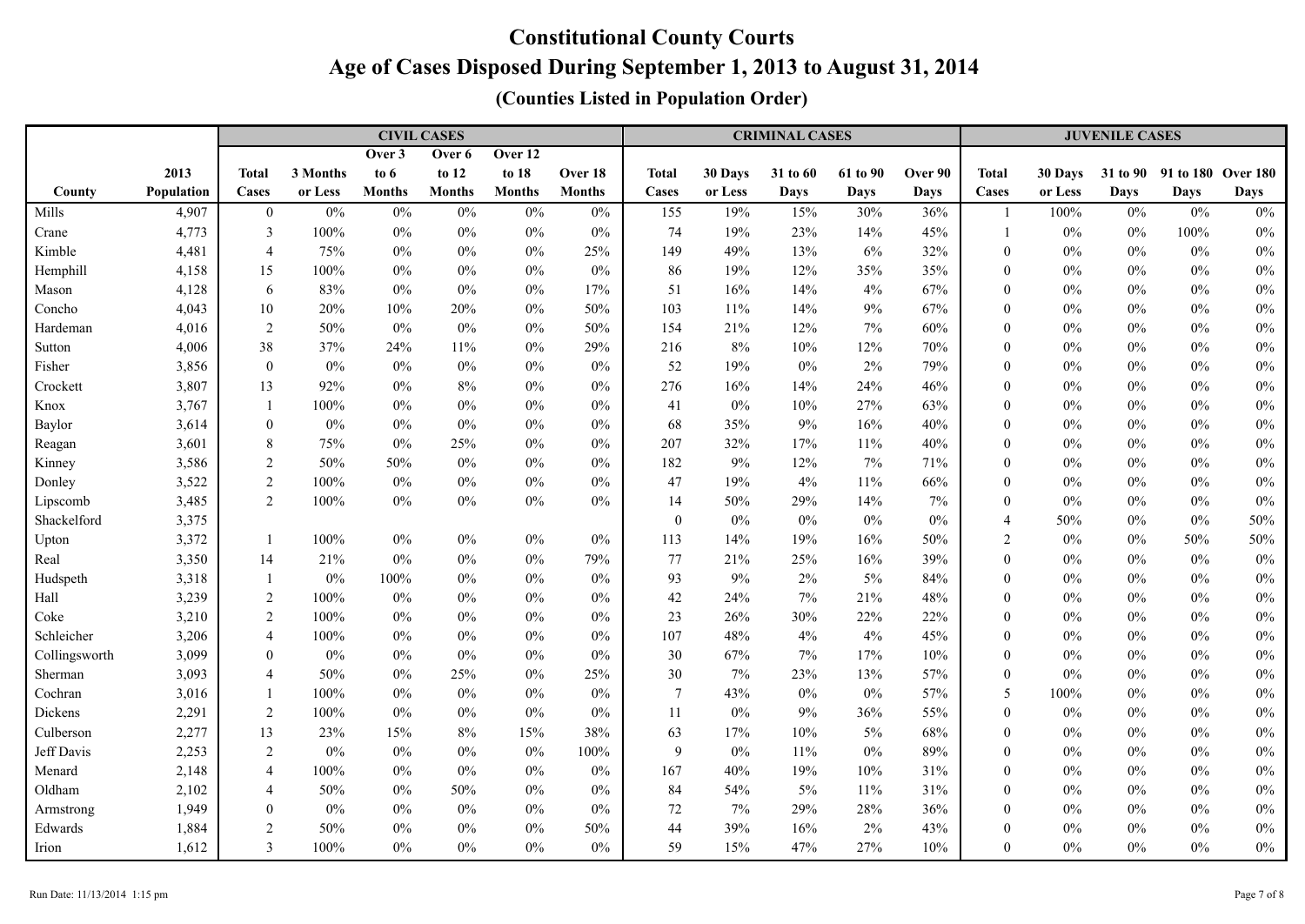|               |            |                  |          |               | <b>CIVIL CASES</b> |               |               | <b>CRIMINAL CASES</b> |         |             |             |             |                  | <b>JUVENILE CASES</b> |       |                             |             |  |  |
|---------------|------------|------------------|----------|---------------|--------------------|---------------|---------------|-----------------------|---------|-------------|-------------|-------------|------------------|-----------------------|-------|-----------------------------|-------------|--|--|
|               |            |                  |          | Over 3        | Over 6             | Over 12       |               |                       |         |             |             |             |                  |                       |       |                             |             |  |  |
|               | 2013       | <b>Total</b>     | 3 Months | to $6$        | to 12              | to 18         | Over 18       | <b>Total</b>          | 30 Days | 31 to 60    | 61 to 90    | Over 90     | Total            | 30 Days               |       | 31 to 90 91 to 180 Over 180 |             |  |  |
| County        | Population | Cases            | or Less  | <b>Months</b> | <b>Months</b>      | <b>Months</b> | <b>Months</b> | Cases                 | or Less | <b>Days</b> | <b>Days</b> | <b>Days</b> | Cases            | or Less               | Days  | <b>Days</b>                 | <b>Days</b> |  |  |
| Mills         | 4,907      | $\boldsymbol{0}$ | 0%       | $0\%$         | $0\%$              | $0\%$         | $0\%$         | 155                   | 19%     | 15%         | 30%         | 36%         |                  | 100%                  | $0\%$ | $0\%$                       | $0\%$       |  |  |
| Crane         | 4,773      | 3                | 100%     | $0\%$         | $0\%$              | $0\%$         | $0\%$         | 74                    | 19%     | 23%         | 14%         | 45%         |                  | $0\%$                 | $0\%$ | $100\%$                     | $0\%$       |  |  |
| Kimble        | 4,481      | $\overline{4}$   | 75%      | $0\%$         | $0\%$              | $0\%$         | 25%           | 149                   | 49%     | 13%         | $6\%$       | 32%         | $\mathbf{0}$     | $0\%$                 | $0\%$ | $0\%$                       | $0\%$       |  |  |
| Hemphill      | 4,158      | 15               | 100%     | $0\%$         | $0\%$              | $0\%$         | $0\%$         | 86                    | 19%     | 12%         | 35%         | 35%         | $\mathbf{0}$     | $0\%$                 | $0\%$ | $0\%$                       | $0\%$       |  |  |
| Mason         | 4,128      | 6                | 83%      | $0\%$         | $0\%$              | $0\%$         | 17%           | 51                    | 16%     | 14%         | $4\%$       | 67%         | $\theta$         | $0\%$                 | $0\%$ | $0\%$                       | $0\%$       |  |  |
| Concho        | 4,043      | 10               | 20%      | 10%           | 20%                | $0\%$         | 50%           | 103                   | 11%     | 14%         | $9\%$       | 67%         | $\mathbf{0}$     | $0\%$                 | $0\%$ | $0\%$                       | $0\%$       |  |  |
| Hardeman      | 4,016      | $\overline{2}$   | 50%      | $0\%$         | $0\%$              | $0\%$         | 50%           | 154                   | 21%     | 12%         | $7\%$       | 60%         | $\mathbf{0}$     | $0\%$                 | $0\%$ | $0\%$                       | $0\%$       |  |  |
| Sutton        | 4,006      | 38               | 37%      | 24%           | 11%                | $0\%$         | 29%           | 216                   | 8%      | 10%         | 12%         | 70%         | $\theta$         | $0\%$                 | $0\%$ | $0\%$                       | $0\%$       |  |  |
| Fisher        | 3,856      | $\boldsymbol{0}$ | $0\%$    | 0%            | $0\%$              | $0\%$         | $0\%$         | 52                    | 19%     | $0\%$       | $2\%$       | 79%         | $\mathbf{0}$     | $0\%$                 | $0\%$ | 0%                          | $0\%$       |  |  |
| Crockett      | 3,807      | 13               | 92%      | 0%            | 8%                 | $0\%$         | $0\%$         | 276                   | 16%     | 14%         | 24%         | 46%         | $\mathbf{0}$     | $0\%$                 | $0\%$ | 0%                          | $0\%$       |  |  |
| Knox          | 3,767      | $\mathbf{1}$     | 100%     | 0%            | $0\%$              | $0\%$         | $0\%$         | 41                    | $0\%$   | 10%         | 27%         | 63%         | $\mathbf{0}$     | $0\%$                 | $0\%$ | 0%                          | $0\%$       |  |  |
| Baylor        | 3,614      | $\boldsymbol{0}$ | $0\%$    | $0\%$         | $0\%$              | $0\%$         | $0\%$         | 68                    | 35%     | 9%          | 16%         | 40%         | $\mathbf{0}$     | $0\%$                 | $0\%$ | $0\%$                       | $0\%$       |  |  |
| Reagan        | 3,601      | $8\,$            | 75%      | $0\%$         | 25%                | $0\%$         | $0\%$         | 207                   | 32%     | 17%         | $11\%$      | 40%         | $\Omega$         | $0\%$                 | $0\%$ | $0\%$                       | $0\%$       |  |  |
| Kinney        | 3,586      | $\boldsymbol{2}$ | 50%      | 50%           | $0\%$              | $0\%$         | $0\%$         | 182                   | 9%      | 12%         | 7%          | 71%         | $\theta$         | $0\%$                 | $0\%$ | $0\%$                       | $0\%$       |  |  |
| Donley        | 3,522      | $\overline{2}$   | 100%     | $0\%$         | $0\%$              | $0\%$         | $0\%$         | 47                    | 19%     | 4%          | 11%         | 66%         | $\theta$         | $0\%$                 | $0\%$ | $0\%$                       | $0\%$       |  |  |
| Lipscomb      | 3,485      | 2                | 100%     | $0\%$         | $0\%$              | $0\%$         | 0%            | 14                    | 50%     | 29%         | 14%         | 7%          | $\mathbf{0}$     | $0\%$                 | $0\%$ | $0\%$                       | $0\%$       |  |  |
| Shackelford   | 3,375      |                  |          |               |                    |               |               | $\mathbf{0}$          | $0\%$   | $0\%$       | $0\%$       | $0\%$       | $\overline{4}$   | 50%                   | $0\%$ | 0%                          | 50%         |  |  |
| Upton         | 3,372      | $\overline{1}$   | 100%     | $0\%$         | $0\%$              | $0\%$         | $0\%$         | 113                   | 14%     | 19%         | 16%         | 50%         | 2                | $0\%$                 | $0\%$ | 50%                         | 50%         |  |  |
| Real          | 3,350      | 14               | 21%      | $0\%$         | $0\%$              | $0\%$         | 79%           | 77                    | 21%     | 25%         | 16%         | 39%         | $\mathbf{0}$     | $0\%$                 | $0\%$ | 0%                          | $0\%$       |  |  |
| Hudspeth      | 3,318      | $\mathbf{1}$     | $0\%$    | 100%          | $0\%$              | $0\%$         | $0\%$         | 93                    | 9%      | 2%          | $5\%$       | 84%         | $\mathbf{0}$     | $0\%$                 | $0\%$ | $0\%$                       | $0\%$       |  |  |
| Hall          | 3,239      | 2                | 100%     | $0\%$         | 0%                 | $0\%$         | $0\%$         | 42                    | 24%     | 7%          | 21%         | 48%         | $\theta$         | 0%                    | $0\%$ | $0\%$                       | $0\%$       |  |  |
| Coke          | 3,210      | $\overline{2}$   | 100%     | $0\%$         | $0\%$              | $0\%$         | $0\%$         | 23                    | 26%     | 30%         | 22%         | 22%         | $\theta$         | $0\%$                 | $0\%$ | $0\%$                       | $0\%$       |  |  |
| Schleicher    | 3,206      | 4                | 100%     | $0\%$         | $0\%$              | $0\%$         | $0\%$         | 107                   | 48%     | 4%          | 4%          | 45%         | $\mathbf{0}$     | $0\%$                 | $0\%$ | $0\%$                       | $0\%$       |  |  |
| Collingsworth | 3,099      | $\boldsymbol{0}$ | $0\%$    | $0\%$         | $0\%$              | $0\%$         | $0\%$         | 30                    | 67%     | 7%          | 17%         | 10%         | $\mathbf{0}$     | $0\%$                 | $0\%$ | $0\%$                       | $0\%$       |  |  |
| Sherman       | 3,093      | $\overline{4}$   | 50%      | $0\%$         | 25%                | $0\%$         | 25%           | 30                    | 7%      | 23%         | 13%         | 57%         | $\mathbf{0}$     | $0\%$                 | $0\%$ | $0\%$                       | $0\%$       |  |  |
| Cochran       | 3,016      | -1               | 100%     | $0\%$         | $0\%$              | $0\%$         | $0\%$         | $7\phantom{.0}$       | 43%     | $0\%$       | $0\%$       | 57%         | 5                | 100%                  | $0\%$ | $0\%$                       | $0\%$       |  |  |
| Dickens       | 2,291      | $\overline{2}$   | 100%     | $0\%$         | $0\%$              | $0\%$         | $0\%$         | 11                    | $0\%$   | 9%          | 36%         | 55%         | $\boldsymbol{0}$ | $0\%$                 | $0\%$ | $0\%$                       | $0\%$       |  |  |
| Culberson     | 2,277      | 13               | 23%      | 15%           | $8\%$              | 15%           | 38%           | 63                    | 17%     | 10%         | $5\%$       | 68%         | $\boldsymbol{0}$ | $0\%$                 | $0\%$ | $0\%$                       | $0\%$       |  |  |
| Jeff Davis    | 2,253      | $\sqrt{2}$       | 0%       | $0\%$         | $0\%$              | $0\%$         | $100\%$       | 9                     | $0\%$   | 11%         | $0\%$       | 89%         | $\theta$         | $0\%$                 | $0\%$ | $0\%$                       | $0\%$       |  |  |
| Menard        | 2,148      | $\overline{4}$   | 100%     | $0\%$         | $0\%$              | $0\%$         | $0\%$         | 167                   | 40%     | 19%         | 10%         | 31%         | $\theta$         | $0\%$                 | $0\%$ | $0\%$                       | $0\%$       |  |  |
| Oldham        | 2,102      | $\overline{4}$   | 50%      | $0\%$         | 50%                | $0\%$         | 0%            | 84                    | 54%     | 5%          | 11%         | 31%         | $\theta$         | $0\%$                 | $0\%$ | 0%                          | $0\%$       |  |  |
| Armstrong     | 1,949      | $\mathbf{0}$     | $0\%$    | 0%            | $0\%$              | $0\%$         | $0\%$         | 72                    | 7%      | 29%         | 28%         | 36%         | $\theta$         | $0\%$                 | $0\%$ | $0\%$                       | $0\%$       |  |  |
| Edwards       | 1,884      | 2                | 50%      | 0%            | $0\%$              | $0\%$         | 50%           | 44                    | 39%     | 16%         | $2\%$       | 43%         | $\Omega$         | $0\%$                 | $0\%$ | 0%                          | $0\%$       |  |  |
| Irion         | 1,612      | 3                | 100%     | 0%            | $0\%$              | $0\%$         | $0\%$         | 59                    | 15%     | 47%         | 27%         | 10%         | $\theta$         | $0\%$                 | $0\%$ | $0\%$                       | $0\%$       |  |  |